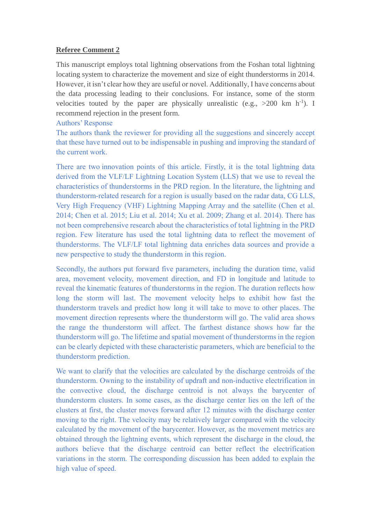## **Referee Comment 2**

This manuscript employs total lightning observations from the Foshan total lightning locating system to characterize the movement and size of eight thunderstorms in 2014. However, it isn't clear how they are useful or novel. Additionally, I have concerns about the data processing leading to their conclusions. For instance, some of the storm velocities touted by the paper are physically unrealistic (e.g.,  $>200$  km h<sup>-1</sup>). I recommend rejection in the present form.

## Authors' Response

The authors thank the reviewer for providing all the suggestions and sincerely accept that these have turned out to be indispensable in pushing and improving the standard of the current work.

There are two innovation points of this article. Firstly, it is the total lightning data derived from the VLF/LF Lightning Location System (LLS) that we use to reveal the characteristics of thunderstorms in the PRD region. In the literature, the lightning and thunderstorm-related research for a region is usually based on the radar data, CG LLS, Very High Frequency (VHF) Lightning Mapping Array and the satellite (Chen et al. 2014; Chen et al. 2015; Liu et al. 2014; Xu et al. 2009; Zhang et al. 2014). There has not been comprehensive research about the characteristics of total lightning in the PRD region. Few literature has used the total lightning data to reflect the movement of thunderstorms. The VLF/LF total lightning data enriches data sources and provide a new perspective to study the thunderstorm in this region.

Secondly, the authors put forward five parameters, including the duration time, valid area, movement velocity, movement direction, and FD in longitude and latitude to reveal the kinematic features of thunderstorms in the region. The duration reflects how long the storm will last. The movement velocity helps to exhibit how fast the thunderstorm travels and predict how long it will take to move to other places. The movement direction represents where the thunderstorm will go. The valid area shows the range the thunderstorm will affect. The farthest distance shows how far the thunderstorm will go. The lifetime and spatial movement of thunderstorms in the region can be clearly depicted with these characteristic parameters, which are beneficial to the thunderstorm prediction.

We want to clarify that the velocities are calculated by the discharge centroids of the thunderstorm. Owning to the instability of updraft and non-inductive electrification in the convective cloud, the discharge centroid is not always the barycenter of thunderstorm clusters. In some cases, as the discharge center lies on the left of the clusters at first, the cluster moves forward after 12 minutes with the discharge center moving to the right. The velocity may be relatively larger compared with the velocity calculated by the movement of the barycenter. However, as the movement metrics are obtained through the lightning events, which represent the discharge in the cloud, the authors believe that the discharge centroid can better reflect the electrification variations in the storm. The corresponding discussion has been added to explain the high value of speed.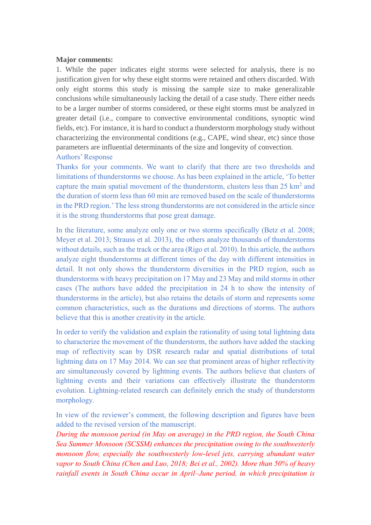#### **Major comments:**

1. While the paper indicates eight storms were selected for analysis, there is no justification given for why these eight storms were retained and others discarded. With only eight storms this study is missing the sample size to make generalizable conclusions while simultaneously lacking the detail of a case study. There either needs to be a larger number of storms considered, or these eight storms must be analyzed in greater detail (i.e., compare to convective environmental conditions, synoptic wind fields, etc). For instance, it is hard to conduct a thunderstorm morphology study without characterizing the environmental conditions (e.g., CAPE, wind shear, etc) since those parameters are influential determinants of the size and longevity of convection. Authors' Response

Thanks for your comments. We want to clarify that there are two thresholds and limitations of thunderstorms we choose. As has been explained in the article, 'To better capture the main spatial movement of the thunderstorm, clusters less than  $25 \text{ km}^2$  and the duration of storm less than 60 min are removed based on the scale of thunderstorms in the PRD region.'The less strong thunderstorms are not considered in the article since it is the strong thunderstorms that pose great damage.

In the literature, some analyze only one or two storms specifically (Betz et al. 2008; Meyer et al. 2013; Strauss et al. 2013), the others analyze thousands of thunderstorms without details, such as the track or the area (Rigo et al. 2010). In this article, the authors analyze eight thunderstorms at different times of the day with different intensities in detail. It not only shows the thunderstorm diversities in the PRD region, such as thunderstorms with heavy precipitation on 17 May and 23 May and mild storms in other cases (The authors have added the precipitation in 24 h to show the intensity of thunderstorms in the article), but also retains the details of storm and represents some common characteristics, such as the durations and directions of storms. The authors believe that this is another creativity in the article.

In order to verify the validation and explain the rationality of using total lightning data to characterize the movement of the thunderstorm, the authors have added the stacking map of reflectivity scan by DSR research radar and spatial distributions of total lightning data on 17 May 2014. We can see that prominent areas of higher reflectivity are simultaneously covered by lightning events. The authors believe that clusters of lightning events and their variations can effectively illustrate the thunderstorm evolution. Lightning-related research can definitely enrich the study of thunderstorm morphology.

In view of the reviewer's comment, the following description and figures have been added to the revised version of the manuscript.

*During the monsoon period (in May on average) in the PRD region, the South China Sea Summer Monsoon (SCSSM) enhances the precipitation owing to the southwesterly monsoon flow, especially the southwesterly low-level jets, carrying abundant water vapor to South China (Chen and Luo, 2018; Bei et al., 2002). More than 50% of heavy rainfall events in South China occur in April–June period, in which precipitation is*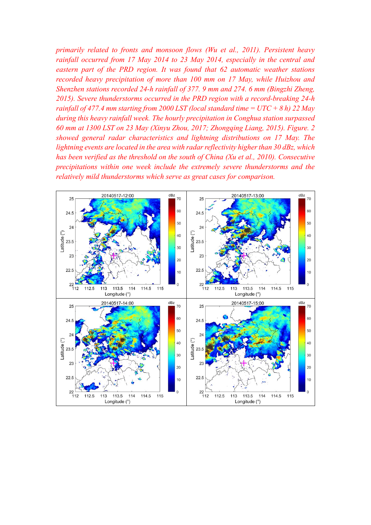*primarily related to fronts and monsoon flows (Wu et al., 2011). Persistent heavy rainfall occurred from 17 May 2014 to 23 May 2014, especially in the central and eastern part of the PRD region. It was found that 62 automatic weather stations recorded heavy precipitation of more than 100 mm on 17 May, while Huizhou and Shenzhen stations recorded 24-h rainfall of 377. 9 mm and 274. 6 mm (Bingzhi Zheng, 2015). Severe thunderstorms occurred in the PRD region with a record-breaking 24-h rainfall of 477.4 mm starting from 2000 LST (local standard time = UTC + 8 h) 22 May during this heavy rainfall week. The hourly precipitation in Conghua station surpassed 60 mm at 1300 LST on 23 May (Xinyu Zhou, 2017; Zhongqing Liang, 2015). Figure. 2 showed general radar characteristics and lightning distributions on 17 May. The lightning events are located in the area with radar reflectivity higher than 30 dBz, which has been verified as the threshold on the south of China (Xu et al., 2010). Consecutive precipitations within one week include the extremely severe thunderstorms and the relatively mild thunderstorms which serve as great cases for comparison.*

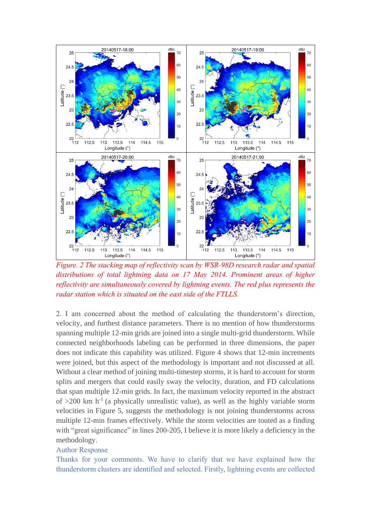

*Figure. 2 The stacking map of reflectivity scan by WSR-98D research radar and spatial distributions of total lightning data on 17 May 2014. Prominent areas of higher reflectivity are simultaneously covered by lightning events. The red plus represents the radar station which is situated on the east side of the FTLLS.*

2. I am concerned about the method of calculating the thunderstorm's direction, velocity, and furthest distance parameters. There is no mention of how thunderstorms spanning multiple 12-min grids are joined into a single multi-grid thunderstorm. While connected neighborhoods labeling can be performed in three dimensions, the paper does not indicate this capability was utilized. Figure 4 shows that 12-min increments were joined, but this aspect of the methodology is important and not discussed at all. Without a clear method of joining multi-timestep storms, it is hard to account for storm splits and mergers that could easily sway the velocity, duration, and FD calculations that span multiple 12-min grids. In fact, the maximum velocity reported in the abstract of  $>200$  km h<sup>-1</sup> (a physically unrealistic value), as well as the highly variable storm velocities in Figure 5, suggests the methodology is not joining thunderstorms across multiple 12-min frames effectively. While the storm velocities are touted as a finding with "great significance" in lines 200-205, I believe it is more likely a deficiency in the methodology.

### Author Response

Thanks for your comments. We have to clarify that we have explained how the thunderstorm clusters are identified and selected. Firstly, lightning events are collected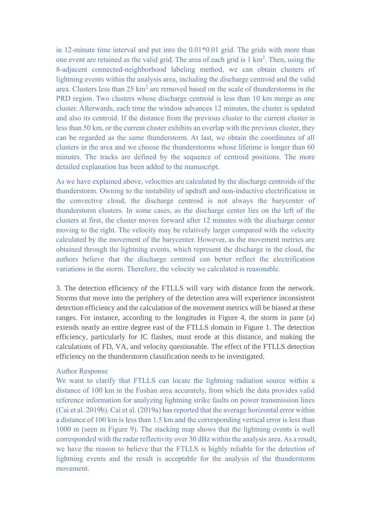in 12-minute time interval and put into the 0.01\*0.01 grid. The grids with more than one event are retained as the valid grid. The area of each grid is  $1 \text{ km}^2$ . Then, using the 8-adjacent connected-neighborhood labeling method, we can obtain clusters of lightning events within the analysis area, including the discharge centroid and the valid area. Clusters less than  $25 \text{ km}^2$  are removed based on the scale of thunderstorms in the PRD region. Two clusters whose discharge centroid is less than 10 km merge as one cluster. Afterwards, each time the window advances 12 minutes, the cluster is updated and also its centroid. If the distance from the previous cluster to the current cluster is less than 50 km, or the current cluster exhibits an overlap with the previous cluster, they can be regarded as the same thunderstorm. At last, we obtain the coordinates of all clusters in the area and we choose the thunderstorms whose lifetime is longer than 60 minutes. The tracks are defined by the sequence of centroid positions. The more detailed explanation has been added to the manuscript.

As we have explained above, velocities are calculated by the discharge centroids of the thunderstorm. Owning to the instability of updraft and non-inductive electrification in the convective cloud, the discharge centroid is not always the barycenter of thunderstorm clusters. In some cases, as the discharge center lies on the left of the clusters at first, the cluster moves forward after 12 minutes with the discharge center moving to the right. The velocity may be relatively larger compared with the velocity calculated by the movement of the barycenter. However, as the movement metrics are obtained through the lightning events, which represent the discharge in the cloud, the authors believe that the discharge centroid can better reflect the electrification variations in the storm. Therefore, the velocity we calculated is reasonable.

3. The detection efficiency of the FTLLS will vary with distance from the network. Storms that move into the periphery of the detection area will experience inconsistent detection efficiency and the calculation of the movement metrics will be biased at these ranges. For instance, according to the longitudes in Figure 4, the storm in pane (a) extends nearly an entire degree east of the FTLLS domain in Figure 1. The detection efficiency, particularly for IC flashes, must erode at this distance, and making the calculations of FD, VA, and velocity questionable. The effect of the FTLLS detection efficiency on the thunderstorm classification needs to be investigated.

#### Author Response

We want to clarify that FTLLS can locate the lightning radiation source within a distance of 100 km in the Foshan area accurately, from which the data provides valid reference information for analyzing lightning strike faults on power transmission lines (Cai et al. 2019b). Cai et al. (2019a) has reported that the average horizontal error within a distance of 100 km is less than 1.5 km and the corresponding vertical error is less than 1000 m (seen in Figure 9). The stacking map shows that the lightning events is well corresponded with the radar reflectivity over 30 dBz within the analysis area. As a result, we have the reason to believe that the FTLLS is highly reliable for the detection of lightning events and the result is acceptable for the analysis of the thunderstorm movement.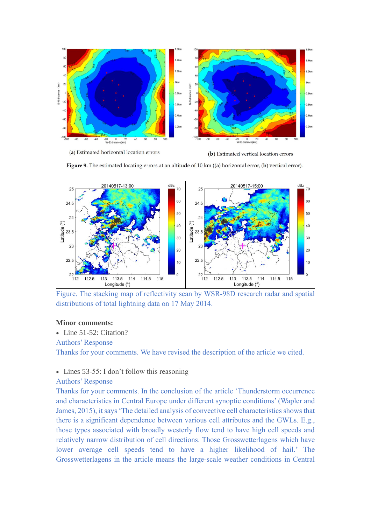

(a) Estimated horizontal location errors

(b) Estimated vertical location errors

Figure 9. The estimated locating errors at an altitude of 10 km  $((a)$  horizontal error,  $(b)$  vertical error).



Figure. The stacking map of reflectivity scan by WSR-98D research radar and spatial distributions of total lightning data on 17 May 2014.

#### **Minor comments:**

• Line 51-52: Citation?

#### Authors' Response

Thanks for your comments. We have revised the description of the article we cited.

## • Lines 53-55: I don't follow this reasoning

#### Authors' Response

Thanks for your comments. In the conclusion of the article 'Thunderstorm occurrence and characteristics in Central Europe under different synoptic conditions' (Wapler and James, 2015), it says 'The detailed analysis of convective cell characteristics shows that there is a significant dependence between various cell attributes and the GWLs. E.g., those types associated with broadly westerly flow tend to have high cell speeds and relatively narrow distribution of cell directions. Those Grosswetterlagens which have lower average cell speeds tend to have a higher likelihood of hail.' The Grosswetterlagens in the article means the large-scale weather conditions in Central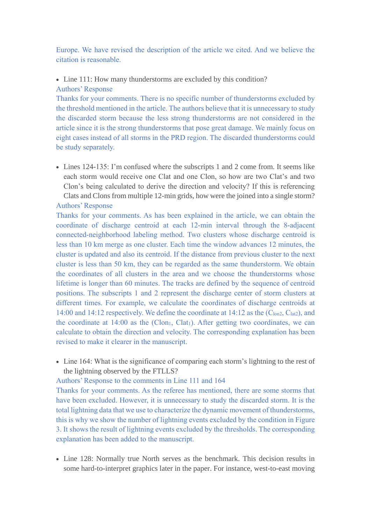Europe. We have revised the description of the article we cited. And we believe the citation is reasonable.

• Line 111: How many thunderstorms are excluded by this condition? Authors' Response

Thanks for your comments. There is no specific number of thunderstorms excluded by the threshold mentioned in the article. The authors believe that it is unnecessary to study the discarded storm because the less strong thunderstorms are not considered in the article since it is the strong thunderstorms that pose great damage. We mainly focus on eight cases instead of all storms in the PRD region. The discarded thunderstorms could be study separately.

• Lines 124-135: I'm confused where the subscripts 1 and 2 come from. It seems like each storm would receive one Clat and one Clon, so how are two Clat's and two Clon's being calculated to derive the direction and velocity? If this is referencing Clats and Clons from multiple 12-min grids, how were the joined into a single storm? Authors' Response

Thanks for your comments. As has been explained in the article, we can obtain the coordinate of discharge centroid at each 12-min interval through the 8-adjacent connected-neighborhood labeling method. Two clusters whose discharge centroid is less than 10 km merge as one cluster. Each time the window advances 12 minutes, the cluster is updated and also its centroid. If the distance from previous cluster to the next cluster is less than 50 km, they can be regarded as the same thunderstorm. We obtain the coordinates of all clusters in the area and we choose the thunderstorms whose lifetime is longer than 60 minutes. The tracks are defined by the sequence of centroid positions. The subscripts 1 and 2 represent the discharge center of storm clusters at different times. For example, we calculate the coordinates of discharge centroids at 14:00 and 14:12 respectively. We define the coordinate at 14:12 as the (C<sub>lon2</sub>, C<sub>lat2</sub>), and the coordinate at 14:00 as the (Clon<sub>1</sub>, Clat<sub>1</sub>). After getting two coordinates, we can calculate to obtain the direction and velocity. The corresponding explanation has been revised to make it clearer in the manuscript.

• Line 164: What is the significance of comparing each storm's lightning to the rest of the lightning observed by the FTLLS?

Authors' Response to the comments in Line 111 and 164

Thanks for your comments. As the referee has mentioned, there are some storms that have been excluded. However, it is unnecessary to study the discarded storm. It is the total lightning data that we use to characterize the dynamic movement of thunderstorms, this is why we show the number of lightning events excluded by the condition in Figure 3. It shows the result of lightning events excluded by the thresholds. The corresponding explanation has been added to the manuscript.

• Line 128: Normally true North serves as the benchmark. This decision results in some hard-to-interpret graphics later in the paper. For instance, west-to-east moving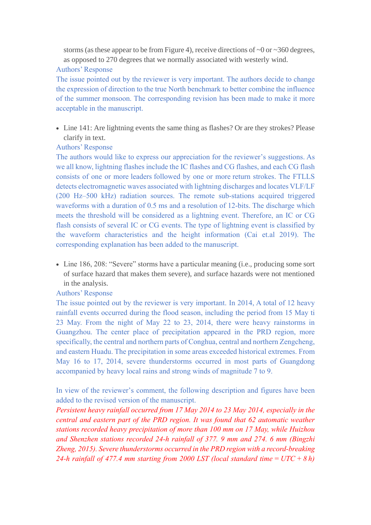storms (as these appear to be from Figure 4), receive directions of  $\sim 0$  or  $\sim 360$  degrees, as opposed to 270 degrees that we normally associated with westerly wind.

#### Authors' Response

The issue pointed out by the reviewer is very important. The authors decide to change the expression of direction to the true North benchmark to better combine the influence of the summer monsoon. The corresponding revision has been made to make it more acceptable in the manuscript.

• Line 141: Are lightning events the same thing as flashes? Or are they strokes? Please clarify in text.

# Authors' Response

The authors would like to express our appreciation for the reviewer's suggestions. As we all know, lightning flashes include the IC flashes and CG flashes, and each CG flash consists of one or more leaders followed by one or more return strokes. The FTLLS detects electromagnetic waves associated with lightning discharges and locates VLF/LF (200 Hz–500 kHz) radiation sources. The remote sub-stations acquired triggered waveforms with a duration of 0.5 ms and a resolution of 12-bits. The discharge which meets the threshold will be considered as a lightning event. Therefore, an IC or CG flash consists of several IC or CG events. The type of lightning event is classified by the waveform characteristics and the height information (Cai et.al 2019). The corresponding explanation has been added to the manuscript.

• Line 186, 208: "Severe" storms have a particular meaning (i.e., producing some sort of surface hazard that makes them severe), and surface hazards were not mentioned in the analysis.

#### Authors' Response

The issue pointed out by the reviewer is very important. In 2014, A total of 12 heavy rainfall events occurred during the flood season, including the period from 15 May ti 23 May. From the night of May 22 to 23, 2014, there were heavy rainstorms in Guangzhou. The center place of precipitation appeared in the PRD region, more specifically, the central and northern parts of Conghua, central and northern Zengcheng, and eastern Huadu. The precipitation in some areas exceeded historical extremes. From May 16 to 17, 2014, severe thunderstorms occurred in most parts of Guangdong accompanied by heavy local rains and strong winds of magnitude 7 to 9.

In view of the reviewer's comment, the following description and figures have been added to the revised version of the manuscript.

*Persistent heavy rainfall occurred from 17 May 2014 to 23 May 2014, especially in the central and eastern part of the PRD region. It was found that 62 automatic weather stations recorded heavy precipitation of more than 100 mm on 17 May, while Huizhou and Shenzhen stations recorded 24-h rainfall of 377. 9 mm and 274. 6 mm (Bingzhi Zheng, 2015). Severe thunderstorms occurred in the PRD region with a record-breaking 24-h rainfall of 477.4 mm starting from 2000 LST (local standard time = UTC + 8 h)*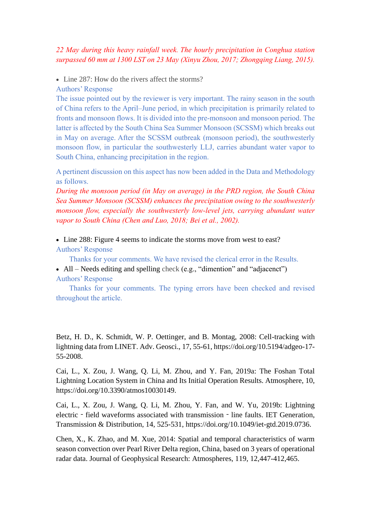# *22 May during this heavy rainfall week. The hourly precipitation in Conghua station surpassed 60 mm at 1300 LST on 23 May (Xinyu Zhou, 2017; Zhongqing Liang, 2015).*

• Line 287: How do the rivers affect the storms?

Authors' Response

The issue pointed out by the reviewer is very important. The rainy season in the south of China refers to the April–June period, in which precipitation is primarily related to fronts and monsoon flows. It is divided into the pre-monsoon and monsoon period. The latter is affected by the South China Sea Summer Monsoon (SCSSM) which breaks out in May on average. After the SCSSM outbreak (monsoon period), the southwesterly monsoon flow, in particular the southwesterly LLJ, carries abundant water vapor to South China, enhancing precipitation in the region.

A pertinent discussion on this aspect has now been added in the Data and Methodology as follows.

*During the monsoon period (in May on average) in the PRD region, the South China Sea Summer Monsoon (SCSSM) enhances the precipitation owing to the southwesterly monsoon flow, especially the southwesterly low-level jets, carrying abundant water vapor to South China (Chen and Luo, 2018; Bei et al., 2002).*

• Line 288: Figure 4 seems to indicate the storms move from west to east? Authors' Response

Thanks for your comments. We have revised the clerical error in the Results.

• All – Needs editing and spelling check (e.g., "dimention" and "adjacenct") Authors' Response

Thanks for your comments. The typing errors have been checked and revised throughout the article.

Betz, H. D., K. Schmidt, W. P. Oettinger, and B. Montag, 2008: Cell-tracking with lightning data from LINET. Adv. Geosci., 17, 55-61, [https://doi.org/10.5194/adgeo-17-](https://doi.org/10.5194/adgeo-17-55-2008) [55-2008.](https://doi.org/10.5194/adgeo-17-55-2008)

Cai, L., X. Zou, J. Wang, Q. Li, M. Zhou, and Y. Fan, 2019a: The Foshan Total Lightning Location System in China and Its Initial Operation Results. Atmosphere, 10, [https://doi.org/10.3390/atmos10030149.](https://doi.org/10.3390/atmos10030149)

Cai, L., X. Zou, J. Wang, Q. Li, M. Zhou, Y. Fan, and W. Yu, 2019b: Lightning electric – field waveforms associated with transmission – line faults. IET Generation, Transmission & Distribution, 14, 525-531, [https://doi.org/10.1049/iet-gtd.2019.0736.](https://doi.org/10.1049/iet-gtd.2019.0736)

Chen, X., K. Zhao, and M. Xue, 2014: Spatial and temporal characteristics of warm season convection over Pearl River Delta region, China, based on 3 years of operational radar data. Journal of Geophysical Research: Atmospheres, 119, 12,447-412,465.